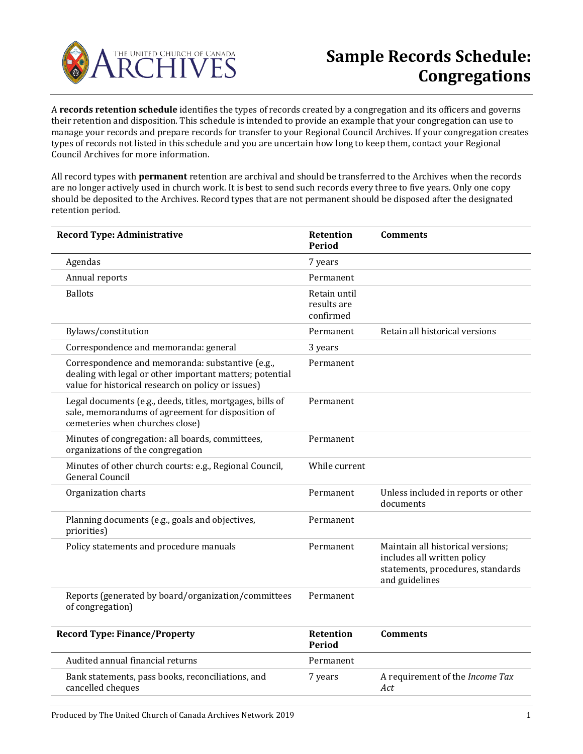

A **records retention schedule** identifies the types of records created by a congregation and its officers and governs their retention and disposition. This schedule is intended to provide an example that your congregation can use to manage your records and prepare records for transfer to your Regional Council Archives. If your congregation creates types of records not listed in this schedule and you are uncertain how long to keep them, contact your Regional Council Archives for more information.

All record types with **permanent** retention are archival and should be transferred to the Archives when the records are no longer actively used in church work. It is best to send such records every three to five years. Only one copy should be deposited to the Archives. Record types that are not permanent should be disposed after the designated retention period.

| <b>Record Type: Administrative</b>                                                                                                                                 | <b>Retention</b><br><b>Period</b>        | <b>Comments</b>                                                                                                         |
|--------------------------------------------------------------------------------------------------------------------------------------------------------------------|------------------------------------------|-------------------------------------------------------------------------------------------------------------------------|
| Agendas                                                                                                                                                            | 7 years                                  |                                                                                                                         |
| Annual reports                                                                                                                                                     | Permanent                                |                                                                                                                         |
| <b>Ballots</b>                                                                                                                                                     | Retain until<br>results are<br>confirmed |                                                                                                                         |
| Bylaws/constitution                                                                                                                                                | Permanent                                | Retain all historical versions                                                                                          |
| Correspondence and memoranda: general                                                                                                                              | 3 years                                  |                                                                                                                         |
| Correspondence and memoranda: substantive (e.g.,<br>dealing with legal or other important matters; potential<br>value for historical research on policy or issues) | Permanent                                |                                                                                                                         |
| Legal documents (e.g., deeds, titles, mortgages, bills of<br>sale, memorandums of agreement for disposition of<br>cemeteries when churches close)                  | Permanent                                |                                                                                                                         |
| Minutes of congregation: all boards, committees,<br>organizations of the congregation                                                                              | Permanent                                |                                                                                                                         |
| Minutes of other church courts: e.g., Regional Council,<br><b>General Council</b>                                                                                  | While current                            |                                                                                                                         |
| Organization charts                                                                                                                                                | Permanent                                | Unless included in reports or other<br>documents                                                                        |
| Planning documents (e.g., goals and objectives,<br>priorities)                                                                                                     | Permanent                                |                                                                                                                         |
| Policy statements and procedure manuals                                                                                                                            | Permanent                                | Maintain all historical versions;<br>includes all written policy<br>statements, procedures, standards<br>and guidelines |
| Reports (generated by board/organization/committees<br>of congregation)                                                                                            | Permanent                                |                                                                                                                         |
| Dogond Tymo, Einango (Duonouty                                                                                                                                     | Dath                                     | Gamma                                                                                                                   |

| <b>Record Type: Finance/Property</b>                                   | Retention<br>Period | <b>Comments</b>                               |
|------------------------------------------------------------------------|---------------------|-----------------------------------------------|
| Audited annual financial returns                                       | Permanent           |                                               |
| Bank statements, pass books, reconciliations, and<br>cancelled cheques | 7 years             | A requirement of the <i>Income Tax</i><br>Act |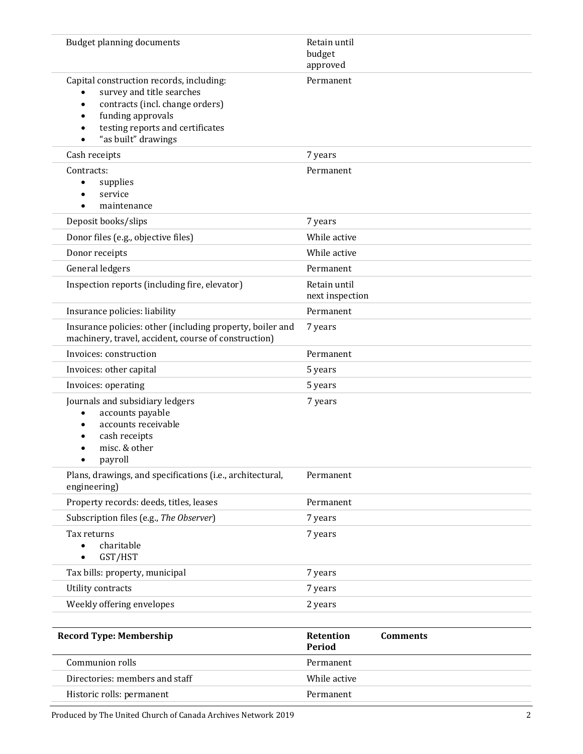| <b>Budget planning documents</b>                                                                                                                                                                                   | Retain until<br>budget<br>approved     |
|--------------------------------------------------------------------------------------------------------------------------------------------------------------------------------------------------------------------|----------------------------------------|
| Capital construction records, including:<br>survey and title searches<br>contracts (incl. change orders)<br>$\bullet$<br>funding approvals<br>$\bullet$<br>testing reports and certificates<br>"as built" drawings | Permanent                              |
| Cash receipts                                                                                                                                                                                                      | 7 years                                |
| Contracts:<br>supplies<br>service<br>maintenance                                                                                                                                                                   | Permanent                              |
| Deposit books/slips                                                                                                                                                                                                | 7 years                                |
| Donor files (e.g., objective files)                                                                                                                                                                                | While active                           |
| Donor receipts                                                                                                                                                                                                     | While active                           |
| General ledgers                                                                                                                                                                                                    | Permanent                              |
| Inspection reports (including fire, elevator)                                                                                                                                                                      | Retain until<br>next inspection        |
| Insurance policies: liability                                                                                                                                                                                      | Permanent                              |
| Insurance policies: other (including property, boiler and<br>machinery, travel, accident, course of construction)                                                                                                  | 7 years                                |
| Invoices: construction                                                                                                                                                                                             | Permanent                              |
| Invoices: other capital                                                                                                                                                                                            | 5 years                                |
| Invoices: operating                                                                                                                                                                                                | 5 years                                |
| Journals and subsidiary ledgers<br>accounts payable<br>٠<br>accounts receivable<br>٠<br>cash receipts<br>misc. & other<br>payroll                                                                                  | 7 years                                |
| Plans, drawings, and specifications (i.e., architectural,<br>engineering)                                                                                                                                          | Permanent                              |
| Property records: deeds, titles, leases                                                                                                                                                                            | Permanent                              |
| Subscription files (e.g., The Observer)                                                                                                                                                                            | 7 years                                |
| Tax returns<br>charitable<br>GST/HST                                                                                                                                                                               | 7 years                                |
| Tax bills: property, municipal                                                                                                                                                                                     | 7 years                                |
| Utility contracts                                                                                                                                                                                                  | 7 years                                |
| Weekly offering envelopes                                                                                                                                                                                          | 2 years                                |
|                                                                                                                                                                                                                    |                                        |
| <b>Record Type: Membership</b>                                                                                                                                                                                     | Retention<br><b>Comments</b><br>Period |
| Communion rolls                                                                                                                                                                                                    | Permanent                              |
| Directories: members and staff                                                                                                                                                                                     | While active                           |
| Historic rolls: permanent                                                                                                                                                                                          | Permanent                              |

Produced by The United Church of Canada Archives Network 2019 22